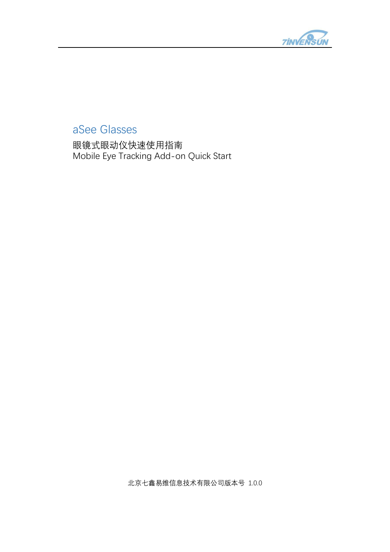

# aSee Glasses

眼镜式眼动仪快速使用指南 Mobile Eye Tracking Add-on Quick Start

北京七鑫易维信息技术有限公司版本号 1.0.0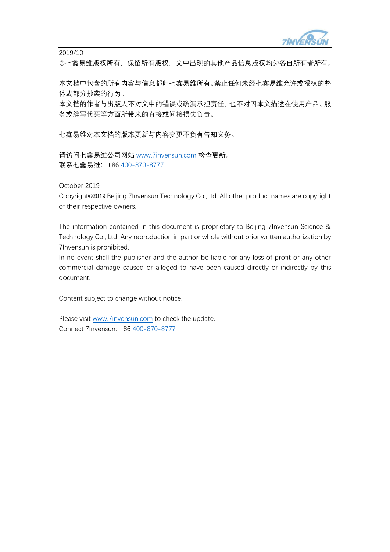

2019/10

©七鑫易维版权所有,保留所有版权,文中出现的其他产品信息版权均为各自所有者所有。

本文档中包含的所有内容与信息都归七鑫易维所有。禁止任何未经七鑫易维允许或授权的整 体或部分抄袭的行为。

本文档的作者与出版人不对文中的错误或疏漏承担责任,也不对因本文描述在使用产品、服 务或编写代买等方面所带来的直接或间接损失负责。

七鑫易维对本文档的版本更新与内容变更不负有告知义务。

请访问七鑫易维公司网站 [www.7invensun.com](http://www.7invensun.com/) 检查更新。 联系七鑫易维:+86 400-870-8777

October 2019

Copyright©2019 Beijing 7Invensun Technology Co.,Ltd. All other product names are copyright of their respective owners.

The information contained in this document is proprietary to Beijing 7Invensun Science & Technology Co., Ltd. Any reproduction in part or whole without prior written authorization by 7Invensun is prohibited.

In no event shall the publisher and the author be liable for any loss of profit or any other commercial damage caused or alleged to have been caused directly or indirectly by this document.

Content subject to change without notice.

Please visit [www.7invensun.com](http://www.7invensun.com/) to check the update. Connect 7Invensun: +86 400-870-8777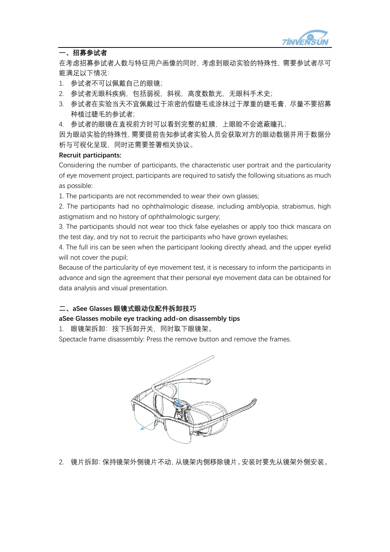

#### **一、招募参试者**

在考虑招募参试者人数与特征用户画像的同时,考虑到眼动实验的特殊性,需要参试者尽可 能满足以下情况:

- 1. 参试者不可以佩戴自己的眼镜;
- 2. 参试者无眼科疾病,包括弱视,斜视,高度数散光,无眼科手术史;
- 3. 参试者在实验当天不宜佩戴过于浓密的假睫毛或涂抹过于厚重的睫毛膏,尽量不要招募 种植过睫毛的参试者;
- 4. 参试者的眼镜在直视前方时可以看到完整的虹膜,上眼睑不会遮蔽瞳孔;

因为眼动实验的特殊性,需要提前告知参试者实验人员会获取对方的眼动数据并用于数据分 析与可视化呈现,同时还需要签署相关协议。

#### **Recruit participants:**

Considering the number of participants, the characteristic user portrait and the particularity of eye movement project, participants are required to satisfy the following situations as much as possible:

1. The participants are not recommended to wear their own glasses;

2. The participants had no ophthalmologic disease, including amblyopia, strabismus, high astigmatism and no history of ophthalmologic surgery;

3. The participants should not wear too thick false eyelashes or apply too thick mascara on the test day, and try not to recruit the participants who have grown eyelashes;

4. The full iris can be seen when the participant looking directly ahead, and the upper eyelid will not cover the pupil;

Because of the particularity of eye movement test, it is necessary to inform the participants in advance and sign the agreement that their personal eye movement data can be obtained for data analysis and visual presentation.

#### **二、aSee Glasses 眼镜式眼动仪配件拆卸技巧**

#### **aSee Glasses mobile eye tracking add-on disassembly tips**

1. 眼镜架拆卸:按下拆卸开关,同时取下眼镜架。

Spectacle frame disassembly: Press the remove button and remove the frames.



2. 镜片拆卸:保持镜架外侧镜片不动,从镜架内侧移除镜片。安装时要先从镜架外侧安装。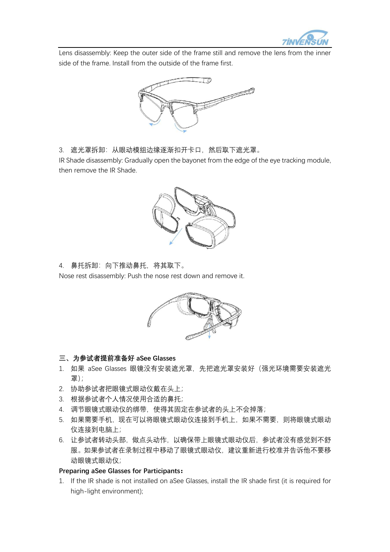

Lens disassembly: Keep the outer side of the frame still and remove the lens from the inner side of the frame. Install from the outside of the frame first.



3. 遮光罩拆卸:从眼动模组边缘逐渐扣开卡口,然后取下遮光罩。

IR Shade disassembly: Gradually open the bayonet from the edge of the eye tracking module, then remove the IR Shade.



4. 鼻托拆卸:向下推动鼻托,将其取下。

Nose rest disassembly: Push the nose rest down and remove it.



# **三、为参试者提前准备好 aSee Glasses**

- 1. 如果 aSee Glasses 眼镜没有安装遮光罩, 先把遮光罩安装好 (强光环境需要安装遮光 罩);
- 2. 协助参试者把眼镜式眼动仪戴在头上;
- 3. 根据参试者个人情况使用合适的鼻托;
- 4. 调节眼镜式眼动仪的绑带,使得其固定在参试者的头上不会掉落;
- 5. 如果需要手机,现在可以将眼镜式眼动仪连接到手机上,如果不需要,则将眼镜式眼动 仪连接到电脑上;
- 6. 让参试者转动头部,做点头动作,以确保带上眼镜式眼动仪后,参试者没有感觉到不舒 服。如果参试者在录制过程中移动了眼镜式眼动仪,建议重新进行校准并告诉他不要移 动眼镜式眼动仪;

# **Preparing aSee Glasses for Participants:**

1. If the IR shade is not installed on aSee Glasses, install the IR shade first (it is required for high-light environment);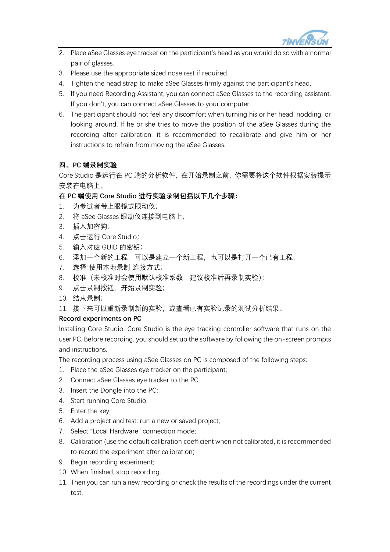

- 2. Place aSee Glasses eye tracker on the participant's head as you would do so with a normal pair of glasses.
- 3. Please use the appropriate sized nose rest if required.
- 4. Tighten the head strap to make aSee Glasses firmly against the participant's head.
- 5. If you need Recording Assistant, you can connect aSee Glasses to the recording assistant. If you don't, you can connect aSee Glasses to your computer.
- 6. The participant should not feel any discomfort when turning his or her head, nodding, or looking around. If he or she tries to move the position of the aSee Glasses during the recording after calibration, it is recommended to recalibrate and give him or her instructions to refrain from moving the aSee Glasses.

# **四、PC 端录制实验**

Core Studio 是运行在 PC 端的分析软件, 在开始录制之前, 你需要将这个软件根据安装提示 安装在电脑上。

## **在 PC 端使用 Core Studio 进行实验录制包括以下几个步骤:**

- 1. 为参试者带上眼镜式眼动仪;
- 2. 将 aSee Glasses 眼动仪连接到电脑上;
- 3. 插入加密狗;
- 4. 点击运行 Core Studio;
- 5. 输入对应 GUID 的密钥;
- 6. 添加一个新的工程,可以是建立一个新工程,也可以是打开一个已有工程;
- 7. 选择"使用本地录制"连接方式;
- 8. 校准(未校准时会使用默认校准系数,建议校准后再录制实验);
- 9. 点击录制按钮,开始录制实验;
- 10. 结束录制;
- 11. 接下来可以重新录制新的实验,或查看已有实验记录的测试分析结果。

#### **Record experiments on PC**

Installing Core Studio: Core Studio is the eye tracking controller software that runs on the user PC. Before recording, you should set up the software by following the on-screen prompts and instructions.

The recording process using aSee Glasses on PC is composed of the following steps:

- 1. Place the aSee Glasses eye tracker on the participant;
- 2. Connect aSee Glasses eye tracker to the PC;
- 3. Insert the Dongle into the PC;
- 4. Start running Core Studio;
- 5. Enter the key;
- 6. Add a project and test: run a new or saved project;
- 7. Select "Local Hardware" connection mode;
- 8. Calibration (use the default calibration coefficient when not calibrated, it is recommended to record the experiment after calibration)
- 9. Begin recording experiment;
- 10. When finished, stop recording.
- 11. Then you can run a new recording or check the results of the recordings under the current test.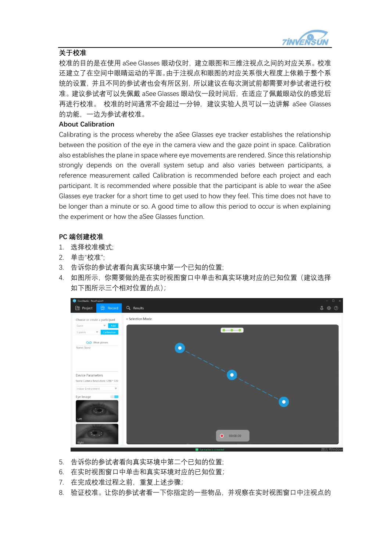

### **关于校准**

校准的目的是在使用 aSee Glasses 眼动仪时,建立眼图和三维注视点之间的对应关系。校准 还建立了在空间中眼睛运动的平面。由于注视点和眼图的对应关系很大程度上依赖于整个系 统的设置,并且不同的参试者也会有所区别,所以建议在每次测试前都需要对参试者进行校 准。建议参试者可以先佩戴 aSee Glasses 眼动仪一段时间后,在适应了佩戴眼动仪的感觉后 再进行校准。 校准的时间通常不会超过一分钟,建议实验人员可以一边讲解 aSee Glasses 的功能,一边为参试者校准。

#### **About Calibration**

Calibrating is the process whereby the aSee Glasses eye tracker establishes the relationship between the position of the eye in the camera view and the gaze point in space. Calibration also establishes the plane in space where eye movements are rendered. Since this relationship strongly depends on the overall system setup and also varies between participants, a reference measurement called Calibration is recommended before each project and each participant. It is recommended where possible that the participant is able to wear the aSee Glasses eye tracker for a short time to get used to how they feel. This time does not have to be longer than a minute or so. A good time to allow this period to occur is when explaining the experiment or how the aSee Glasses function.

#### **PC 端创建校准**

- 1. 选择校准模式;
- 2. 单击"校准";
- 3. 告诉你的参试者看向真实环境中第一个已知的位置;
- 4. 如图所示,你需要做的是在实时视图窗口中单击和真实环境对应的已知位置(建议选择 如下图所示三个相对位置的点);



- 5. 告诉你的参试者看向真实环境中第二个已知的位置;
- 6. 在实时视图窗口中单击和真实环境对应的已知位置;
- 7. 在完成校准过程之前,重复上述步骤;
- 8. 验证校准。让你的参试者看一下你指定的一些物品,并观察在实时视图窗口中注视点的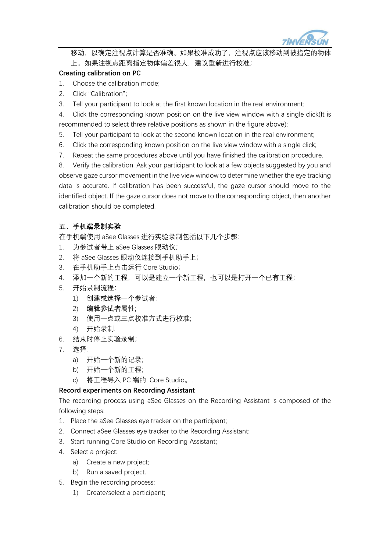

移动, 以确定注视点计算是否准确。如果校准成功了, 注视点应该移动到被指定的 上。如果注视点距离指定物体偏差很大,建议重新进行校准;

## **Creating calibration on PC**

- 1. Choose the calibration mode;
- 2. Click "Calibration";
- 3. Tell your participant to look at the first known location in the real environment;

4. Click the corresponding known position on the live view window with a single click(It is recommended to select three relative positions as shown in the figure above);

- 5. Tell your participant to look at the second known location in the real environment;
- 6. Click the corresponding known position on the live view window with a single click;
- 7. Repeat the same procedures above until you have finished the calibration procedure.

8. Verify the calibration. Ask your participant to look at a few objects suggested by you and observe gaze cursor movement in the live view window to determine whether the eye tracking data is accurate. If calibration has been successful, the gaze cursor should move to the identified object. If the gaze cursor does not move to the corresponding object, then another calibration should be completed.

# **五、手机端录制实验**

在手机端使用 aSee Glasses 进行实验录制包括以下几个步骤:

- 1. 为参试者带上 aSee Glasses 眼动仪;
- 2. 将 aSee Glasses 眼动仪连接到手机助手上;
- 3. 在手机助手上点击运行 Core Studio;
- 4. 添加一个新的工程,可以是建立一个新工程,也可以是打开一个已有工程;
- 5. 开始录制流程:
	- 1) 创建或选择一个参试者;
	- 2) 编辑参试者属性;
	- 3) 使用一点或三点校准方式进行校准;
	- 4) 开始录制.
- 6. 结束时停止实验录制;
- 7. 选择:
	- a) 开始一个新的记录;
	- b) 开始一个新的工程;
	- c) 将工程导入 PC 端的 Core Studio。.

#### **Record experiments on Recording Assistant**

The recording process using aSee Glasses on the Recording Assistant is composed of the following steps:

- 1. Place the aSee Glasses eye tracker on the participant;
- 2. Connect aSee Glasses eye tracker to the Recording Assistant;
- 3. Start running Core Studio on Recording Assistant;
- 4. Select a project:
	- a) Create a new project;
	- b) Run a saved project.
- 5. Begin the recording process:
	- 1) Create/select a participant;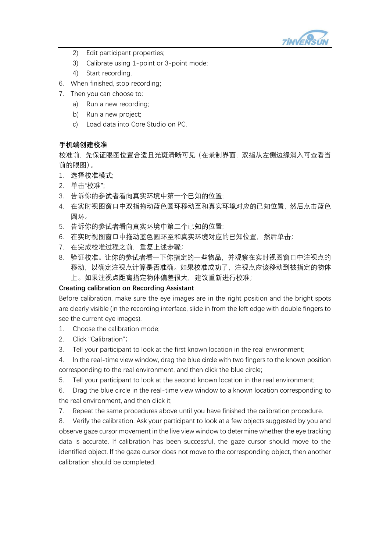

- 2) Edit participant properties;
- 3) Calibrate using 1-point or 3-point mode;
- 4) Start recording.
- 6. When finished, stop recording;
- 7. Then you can choose to:
	- a) Run a new recording;
	- b) Run a new project;
	- c) Load data into Core Studio on PC.

## **手机端创建校准**

校准前,先保证眼图位置合适且光斑清晰可见(在录制界面,双指从左侧边缘滑入可查看当 前的眼图)。

- 1. 选择校准模式;
- 2. 单击"校准";
- 3. 告诉你的参试者看向真实环境中第一个已知的位置;
- 4. 在实时视图窗口中双指拖动蓝色圆环移动至和真实环境对应的已知位置,然后点击蓝色 圆环。
- 5. 告诉你的参试者看向真实环境中第二个已知的位置;
- 6. 在实时视图窗口中拖动蓝色圆环至和真实环境对应的已知位置,然后单击;
- 7. 在完成校准过程之前,重复上述步骤;
- 8. 验证校准。让你的参试者看一下你指定的一些物品,并观察在实时视图窗口中注视点的 移动,以确定注视点计算是否准确。如果校准成功了,注视点应该移动到被指定的物体 上。如果注视点距离指定物体偏差很大,建议重新进行校准;

#### **Creating calibration on Recording Assistant**

Before calibration, make sure the eye images are in the right position and the bright spots are clearly visible (in the recording interface, slide in from the left edge with double fingers to see the current eye images).

- 1. Choose the calibration mode;
- 2. Click "Calibration";
- 3. Tell your participant to look at the first known location in the real environment;

4. In the real-time view window, drag the blue circle with two fingers to the known position corresponding to the real environment, and then click the blue circle;

5. Tell your participant to look at the second known location in the real environment;

6. Drag the blue circle in the real-time view window to a known location corresponding to the real environment, and then click it;

7. Repeat the same procedures above until you have finished the calibration procedure.

8. Verify the calibration. Ask your participant to look at a few objects suggested by you and observe gaze cursor movement in the live view window to determine whether the eye tracking data is accurate. If calibration has been successful, the gaze cursor should move to the identified object. If the gaze cursor does not move to the corresponding object, then another calibration should be completed.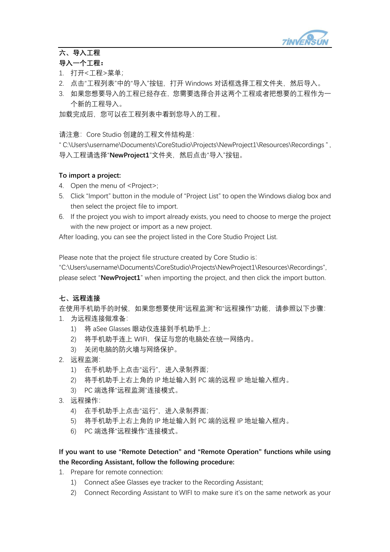

# **六、导入工程**

## **导入一个工程:**

- 1. 打开<工程>菜单;
- 2. 点击"工程列表"中的"导入"按钮, 打开 Windows 对话框选择工程文件夹, 然后导入。
- 3. 如果您想要导入的工程已经存在,您需要选择合并这两个工程或者把想要的工程作为一 个新的工程导入。

加载完成后,您可以在工程列表中看到您导入的工程。

请注意:Core Studio 创建的工程文件结构是:

" C:\Users\username\Documents\CoreStudio\Projects\NewProject1\Resources\Recordings " , 导入工程请选择"NewProject1"文件夹,然后点击"导入"按钮。

## **To import a project:**

- 4. Open the menu of <Project>;
- 5. Click "Import" button in the module of "Project List" to open the Windows dialog box and then select the project file to import.
- 6. If the project you wish to import already exists, you need to choose to merge the project with the new project or import as a new project.

After loading, you can see the project listed in the Core Studio Project List.

Please note that the project file structure created by Core Studio is:

"C:\Users\username\Documents\CoreStudio\Projects\NewProject1\Resources\Recordings", please select "**NewProject1**" when importing the project, and then click the import button.

# **七、远程连接**

在使用手机助手的时候,如果您想要使用"远程监测"和"远程操作"功能,请参照以下步骤: 1. 为远程连接做准备:

- 1) 将 aSee Glasses 眼动仪连接到手机助手上;
- 2) 将手机助手连上 WIFI,保证与您的电脑处在统一网络内。
- 3) 关闭电脑的防火墙与网络保护。
- 2. 远程监测:
	- 1) 在手机助手上点击"运行",进入录制界面;
	- 2) 将手机助手上右上角的 IP 地址输入到 PC 端的远程 IP 地址输入框内。
	- 3) PC 端选择"远程监测"连接模式。
- 3. 远程操作:
	- 4) 在手机助手上点击"运行",进入录制界面;
	- 5) 将手机助手上右上角的 IP 地址输入到 PC 端的远程 IP 地址输入框内。
	- 6) PC 端选择"远程操作"连接模式。

# **If you want to use "Remote Detection" and "Remote Operation" functions while using the Recording Assistant, follow the following procedure:**

- 1. Prepare for remote connection:
	- 1) Connect aSee Glasses eye tracker to the Recording Assistant;
	- 2) Connect Recording Assistant to WIFI to make sure it's on the same network as your